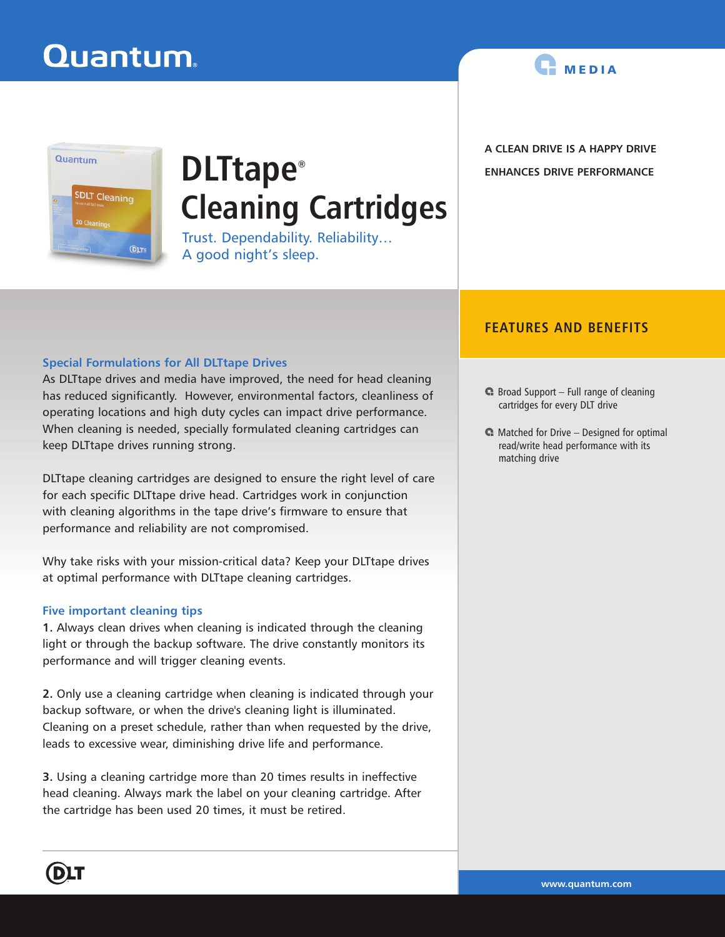

**A CLEAN DRIVE IS A HAPPY DRIVE ENHANCES DRIVE PERFORMANCE**

## Quantum **SDLT Cleaning DLT**

# **DLTtape® Cleaning Cartridges**

Trust. Dependability. Reliability… A good night's sleep.

## **FEATURES AND BENEFITS**

### **Special Formulations for All DLTtape Drives**

As DLTtape drives and media have improved, the need for head cleaning has reduced significantly. However, environmental factors, cleanliness of operating locations and high duty cycles can impact drive performance. When cleaning is needed, specially formulated cleaning cartridges can keep DLTtape drives running strong.

DLTtape cleaning cartridges are designed to ensure the right level of care for each specific DLTtape drive head. Cartridges work in conjunction with cleaning algorithms in the tape drive's firmware to ensure that performance and reliability are not compromised.

Why take risks with your mission-critical data? Keep your DLTtape drives at optimal performance with DLTtape cleaning cartridges.

### **Five important cleaning tips**

**1.** Always clean drives when cleaning is indicated through the cleaning light or through the backup software. The drive constantly monitors its performance and will trigger cleaning events.

**2.** Only use a cleaning cartridge when cleaning is indicated through your backup software, or when the drive's cleaning light is illuminated. Cleaning on a preset schedule, rather than when requested by the drive, leads to excessive wear, diminishing drive life and performance.

**3.** Using a cleaning cartridge more than 20 times results in ineffective head cleaning. Always mark the label on your cleaning cartridge. After the cartridge has been used 20 times, it must be retired.

- $\bigcap$  Broad Support Full range of cleaning cartridges for every DLT drive
- $\blacksquare$  Matched for Drive Designed for optimal read/write head performance with its matching drive